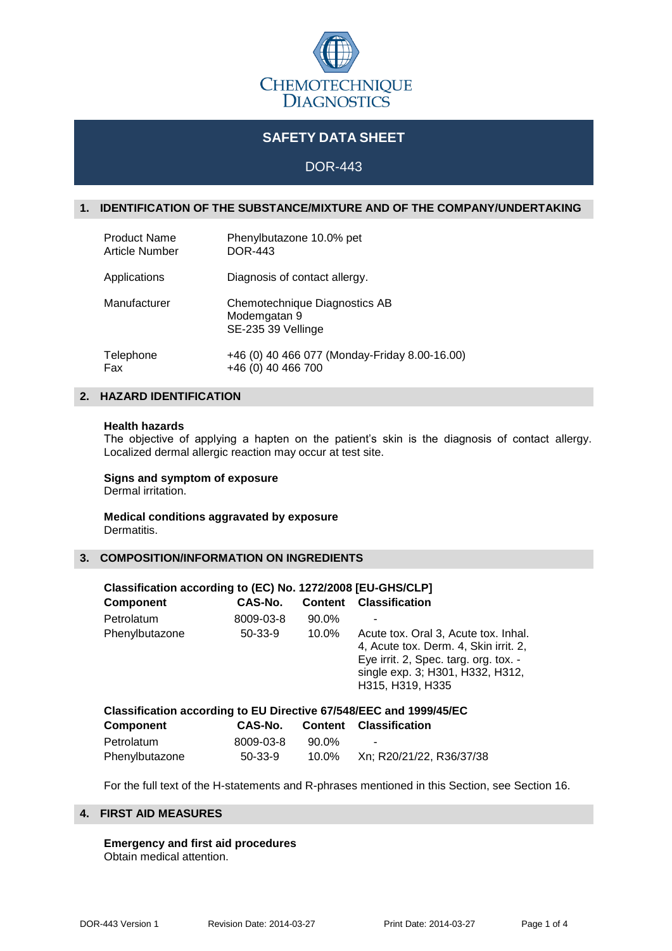

# **SAFETY DATA SHEET**

## DOR-443

## **1. IDENTIFICATION OF THE SUBSTANCE/MIXTURE AND OF THE COMPANY/UNDERTAKING**

| <b>Product Name</b>   | Phenylbutazone 10.0% pet                                            |
|-----------------------|---------------------------------------------------------------------|
| <b>Article Number</b> | <b>DOR-443</b>                                                      |
| Applications          | Diagnosis of contact allergy.                                       |
| Manufacturer          | Chemotechnique Diagnostics AB<br>Modemgatan 9<br>SE-235 39 Vellinge |
| Telephone             | +46 (0) 40 466 077 (Monday-Friday 8.00-16.00)                       |
| Fax                   | +46 (0) 40 466 700                                                  |

## **2. HAZARD IDENTIFICATION**

#### **Health hazards**

The objective of applying a hapten on the patient's skin is the diagnosis of contact allergy. Localized dermal allergic reaction may occur at test site.

# **Signs and symptom of exposure**

Dermal irritation.

#### **Medical conditions aggravated by exposure** Dermatitis.

#### **3. COMPOSITION/INFORMATION ON INGREDIENTS**

| Classification according to (EC) No. 1272/2008 [EU-GHS/CLP]        |           |                |                                                                                                                                                                                |  |
|--------------------------------------------------------------------|-----------|----------------|--------------------------------------------------------------------------------------------------------------------------------------------------------------------------------|--|
| <b>Component</b>                                                   | CAS-No.   | <b>Content</b> | <b>Classification</b>                                                                                                                                                          |  |
| Petrolatum                                                         | 8009-03-8 | $90.0\%$       |                                                                                                                                                                                |  |
| Phenylbutazone                                                     | $50-33-9$ | $10.0\%$       | Acute tox. Oral 3, Acute tox. Inhal.<br>4, Acute tox. Derm. 4, Skin irrit. 2,<br>Eye irrit. 2, Spec. targ. org. tox. -<br>single exp. 3; H301, H332, H312,<br>H315, H319, H335 |  |
| Classification according to EU Directive 67/548/EEC and 1999/45/EC |           |                |                                                                                                                                                                                |  |
| <b>Component</b>                                                   | CAS-No.   | <b>Content</b> | <b>Classification</b>                                                                                                                                                          |  |
| Petrolatum                                                         | 8009-03-8 | 90.0%          |                                                                                                                                                                                |  |
| Phenylbutazone                                                     | $50-33-9$ | 10.0%          | Xn; R20/21/22, R36/37/38                                                                                                                                                       |  |

For the full text of the H-statements and R-phrases mentioned in this Section, see Section 16.

## **4. FIRST AID MEASURES**

**Emergency and first aid procedures** Obtain medical attention.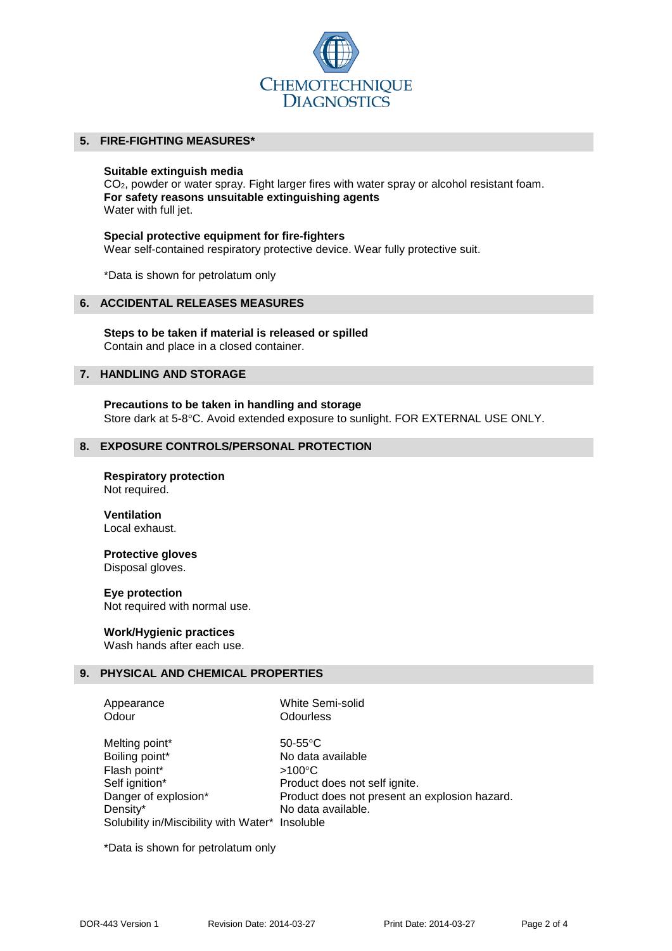

## **5. FIRE-FIGHTING MEASURES\***

#### **Suitable extinguish media**

CO<sub>2</sub>, powder or water spray. Fight larger fires with water spray or alcohol resistant foam. **For safety reasons unsuitable extinguishing agents** Water with full jet.

#### **Special protective equipment for fire-fighters**

Wear self-contained respiratory protective device. Wear fully protective suit.

\*Data is shown for petrolatum only

## **6. ACCIDENTAL RELEASES MEASURES**

**Steps to be taken if material is released or spilled** Contain and place in a closed container.

#### **7. HANDLING AND STORAGE**

**Precautions to be taken in handling and storage** Store dark at 5-8°C. Avoid extended exposure to sunlight. FOR EXTERNAL USE ONLY.

#### **8. EXPOSURE CONTROLS/PERSONAL PROTECTION**

#### **Respiratory protection** Not required.

#### **Ventilation** Local exhaust.

# **Protective gloves**

Disposal gloves.

#### **Eye protection**

Not required with normal use.

## **Work/Hygienic practices**

Wash hands after each use.

## **9. PHYSICAL AND CHEMICAL PROPERTIES**

Appearance White Semi-solid Odour **Odourless** 

Melting point\* 50-55°C Boiling point\* No data available Flash point\*  $>100^{\circ}$ C Self ignition\* Product does not self ignite. Danger of explosion\* Product does not present an explosion hazard. Density\* No data available. Solubility in/Miscibility with Water\* Insoluble

\*Data is shown for petrolatum only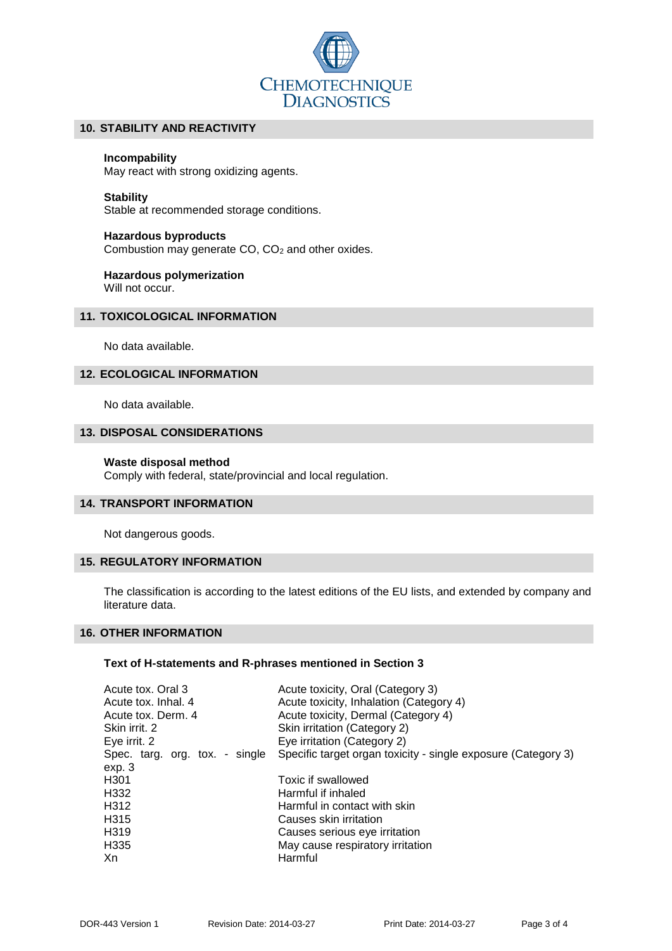

## **10. STABILITY AND REACTIVITY**

#### **Incompability**

May react with strong oxidizing agents.

#### **Stability**

Stable at recommended storage conditions.

#### **Hazardous byproducts**

Combustion may generate CO, CO<sub>2</sub> and other oxides.

# **Hazardous polymerization**

Will not occur.

## **11. TOXICOLOGICAL INFORMATION**

No data available.

## **12. ECOLOGICAL INFORMATION**

No data available.

## **13. DISPOSAL CONSIDERATIONS**

#### **Waste disposal method**

Comply with federal, state/provincial and local regulation.

#### **14. TRANSPORT INFORMATION**

Not dangerous goods.

## **15. REGULATORY INFORMATION**

The classification is according to the latest editions of the EU lists, and extended by company and literature data.

#### **16. OTHER INFORMATION**

### **Text of H-statements and R-phrases mentioned in Section 3**

| Acute tox. Oral 3              | Acute toxicity, Oral (Category 3)                             |
|--------------------------------|---------------------------------------------------------------|
| Acute tox. Inhal. 4            | Acute toxicity, Inhalation (Category 4)                       |
| Acute tox. Derm. 4             | Acute toxicity, Dermal (Category 4)                           |
| Skin irrit. 2                  | Skin irritation (Category 2)                                  |
| Eye irrit. 2                   | Eye irritation (Category 2)                                   |
| Spec. targ. org. tox. - single | Specific target organ toxicity - single exposure (Category 3) |
| exp.3                          |                                                               |
| H <sub>301</sub>               | Toxic if swallowed                                            |
| H332                           | Harmful if inhaled                                            |
| H312                           | Harmful in contact with skin                                  |
| H315                           | Causes skin irritation                                        |
| H319                           | Causes serious eye irritation                                 |
| H335                           | May cause respiratory irritation                              |
| Xn                             | Harmful                                                       |
|                                |                                                               |